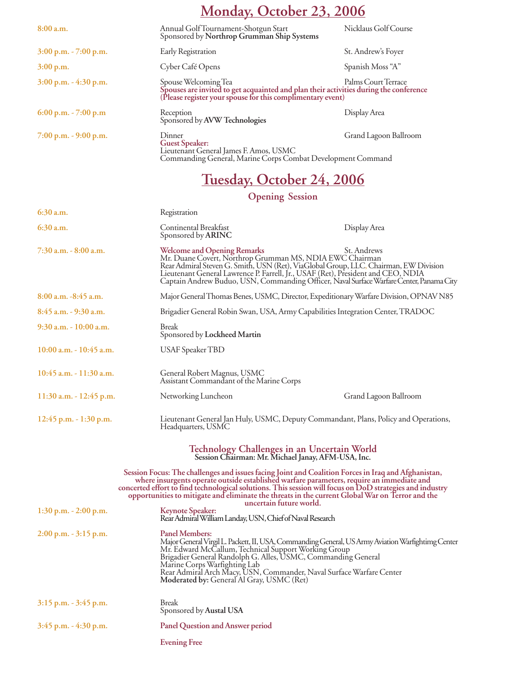# **Monday, October 23, 2006**

| 8:00a.m.                  | Annual Golf Tournament-Shotgun Start<br>Sponsored by Northrop Grumman Ship Systems                                                                                                                 | Nicklaus Golf Course  |
|---------------------------|----------------------------------------------------------------------------------------------------------------------------------------------------------------------------------------------------|-----------------------|
| $3:00$ p.m. $- 7:00$ p.m. | Early Registration                                                                                                                                                                                 | St. Andrew's Foyer    |
| 3:00 p.m.                 | Cyber Café Opens                                                                                                                                                                                   | Spanish Moss "A"      |
| $3:00$ p.m. $-4:30$ p.m.  | Palms Court Terrace<br>Spouse Welcoming Tea<br>Spouses are invited to get acquainted and plan their activities during the conference<br>(Please register your spouse for this complimentary event) |                       |
| $6:00$ p.m. $- 7:00$ p.m  | Reception<br>Sponsored by AVW Technologies                                                                                                                                                         | Display Area          |
| $7:00$ p.m. $-9:00$ p.m.  | Dinner<br><b>Guest Speaker:</b><br>Lieutenant General James F. Amos, USMC<br>Commanding General, Marine Corps Combat Development Command                                                           | Grand Lagoon Ballroom |

# **Tuesday, October 24, 2006**

#### **Opening Session**

| $6:30$ a.m.                                                                                              | Registration                                                                                                                                                                   |                                                                                                                                                                                                                                                                                                                                                                                                                                            |
|----------------------------------------------------------------------------------------------------------|--------------------------------------------------------------------------------------------------------------------------------------------------------------------------------|--------------------------------------------------------------------------------------------------------------------------------------------------------------------------------------------------------------------------------------------------------------------------------------------------------------------------------------------------------------------------------------------------------------------------------------------|
| $6:30$ a.m.                                                                                              | Continental Breakfast<br>Sponsored by ARINC                                                                                                                                    | Display Area                                                                                                                                                                                                                                                                                                                                                                                                                               |
| 7:30 a.m. - 8:00 a.m.                                                                                    | <b>Welcome and Opening Remarks</b><br>Mr. Duane Covert, Northrop Grumman MS, NDIA EWC Chairman                                                                                 | St. Andrews<br>Rear Admiral Steven G. Smith, USN (Ret), ViaGlobal Group, LLC, Chairman, EW Division<br>Lieutenant General Lawrence P. Farrell, Jr., USAF (Ret), President and CEO, NDIA<br>Captain Andrew Buduo, USN, Commanding Officer, Naval Surface Warfare Center, Panama City                                                                                                                                                        |
| $8:00$ a.m. $-8:45$ a.m.                                                                                 |                                                                                                                                                                                | Major General Thomas Benes, USMC, Director, Expeditionary Warfare Division, OPNAV N85                                                                                                                                                                                                                                                                                                                                                      |
| 8:45 a.m. - 9:30 a.m.                                                                                    |                                                                                                                                                                                | Brigadier General Robin Swan, USA, Army Capabilities Integration Center, TRADOC                                                                                                                                                                                                                                                                                                                                                            |
| $9:30$ a.m. $-10:00$ a.m.                                                                                | <b>Break</b><br>Sponsored by Lockheed Martin                                                                                                                                   |                                                                                                                                                                                                                                                                                                                                                                                                                                            |
| $10:00$ a.m. $-10:45$ a.m.                                                                               | <b>USAF Speaker TBD</b>                                                                                                                                                        |                                                                                                                                                                                                                                                                                                                                                                                                                                            |
| $10:45$ a.m. $-11:30$ a.m.                                                                               | General Robert Magnus, USMC<br>Assistant Commandant of the Marine Corps                                                                                                        |                                                                                                                                                                                                                                                                                                                                                                                                                                            |
| 11:30 a.m. - 12:45 p.m.                                                                                  | Networking Luncheon                                                                                                                                                            | Grand Lagoon Ballroom                                                                                                                                                                                                                                                                                                                                                                                                                      |
| $12:45$ p.m. - 1:30 p.m.                                                                                 | Headquarters, USMC                                                                                                                                                             | Lieutenant General Jan Huly, USMC, Deputy Commandant, Plans, Policy and Operations,                                                                                                                                                                                                                                                                                                                                                        |
| <b>Technology Challenges in an Uncertain World</b><br>Session Chairman: Mr. Michael Janay, AFM-USA, Inc. |                                                                                                                                                                                |                                                                                                                                                                                                                                                                                                                                                                                                                                            |
|                                                                                                          |                                                                                                                                                                                | Session Focus: The challenges and issues facing Joint and Coalition Forces in Iraq and Afghanistan,<br>where insurgents operate outside established warfare parameters, require an immediate and<br>concerted effort to find technological solutions. This session will focus on DoD strategies and industry<br>opportunities to mitigate and eliminate the threats in the current Global War on Terror and the<br>uncertain future world. |
| $1:30$ p.m. $-2:00$ p.m.                                                                                 | <b>Keynote Speaker:</b><br>Rear Admiral William Landay, USN, Chief of Naval Research                                                                                           |                                                                                                                                                                                                                                                                                                                                                                                                                                            |
| $2:00$ p.m. $-3:15$ p.m.                                                                                 | <b>Panel Members:</b><br>Mr. Edward McCallum, Technical Support Working Group<br>Brigadier General Randolph G. Alles, USMC, Commanding General<br>Marine Corps Warfighting Lab | Major General Virgil L. Packett, II, USA, Commanding General, US Army Aviation Warfightimg Center<br>Rear Admiral Arch Macy, USN, Commander, Naval Surface Warfare Center<br>Moderated by: General Al Gray, USMC (Ret)                                                                                                                                                                                                                     |
| $3:15$ p.m. $-3:45$ p.m.                                                                                 | <b>Break</b><br>Sponsored by Austal USA                                                                                                                                        |                                                                                                                                                                                                                                                                                                                                                                                                                                            |
| $3:45$ p.m. $-4:30$ p.m.                                                                                 | <b>Panel Question and Answer period</b>                                                                                                                                        |                                                                                                                                                                                                                                                                                                                                                                                                                                            |
|                                                                                                          | <b>Evening Free</b>                                                                                                                                                            |                                                                                                                                                                                                                                                                                                                                                                                                                                            |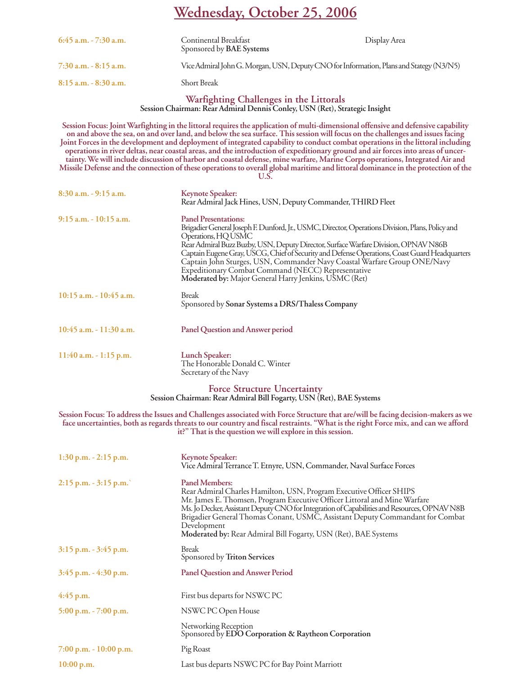### **Wednesday, October 25, 2006**

| $6:45$ a.m. $-7:30$ a.m. | <b>Continental Breakfast</b><br>Sponsored by <b>BAE</b> Systems                         | Display Area |
|--------------------------|-----------------------------------------------------------------------------------------|--------------|
| $7:30$ a.m. $-8:15$ a.m. | Vice Admiral John G. Morgan, USN, Deputy CNO for Information, Plans and Stategy (N3/N5) |              |
| $8:15$ a.m. $-8:30$ a.m. | <b>Short Break</b>                                                                      |              |

## **Warfighting Challenges in the Littorals Session Chairman: Rear Admiral Dennis Conley, USN (Ret), Strategic Insight**

**Session Focus: Joint Warfighting in the littoral requires the application of multi-dimensional offensive and defensive capability on and above the sea, on and over land, and below the sea surface. This session will focus on the challenges and issues facing Joint Forces in the development and deployment of integrated capability to conduct combat operations in the littoral including operations in river deltas, near coastal areas, and the introduction of expeditionary ground and air forces into areas of uncertainty. We will include discussion of harbor and coastal defense, mine warfare, Marine Corps operations, Integrated Air and Missile Defense and the connection of these operations to overall global maritime and littoral dominance in the protection of the U.S. 8:30 a.m. - 9:15 a.m. Keynote Speaker:** Rear Admiral Jack Hines, USN, Deputy Commander, THIRD Fleet **9:15 a.m. - 10:15 a.m. Panel Presentations:** Brigadier General Joseph F. Dunford, Jr., USMC, Director, Operations Division, Plans, Policy and Operations, HQ USMC Rear Admiral Buzz Buzby, USN, Deputy Director, Surface Warfare Division, OPNAV N86B Captain Eugene Gray, USCG, Chief of Security and Defense Operations, Coast Guard Headquarters Captain John Sturges, USN, Commander Navy Coastal Warfare Group ONE/Navy Expeditionary Combat Command (NECC) Representative **Moderated by:** Major General Harry Jenkins, USMC (Ret) **10:15 a.m. - 10:45 a.m.** Break Sponsored by **Sonar Systems a DRS/Thaless Company**

- **10:45 a.m. 11:30 a.m. Panel Question and Answer period**
- **11:40 a.m. 1:15 p.m. Lunch Speaker:** The Honorable Donald C. Winter Secretary of the Navy

## **Force Structure Uncertainty Session Chairman: Rear Admiral Bill Fogarty, USN (Ret), BAE Systems**

**Session Focus: To address the Issues and Challenges associated with Force Structure that are/will be facing decision-makers as we face uncertainties, both as regards threats to our country and fiscal restraints. "What is the right Force mix, and can we afford it?" That is the question we will explore in this session.**

| $1:30$ p.m. $-2:15$ p.m.  | <b>Keynote Speaker:</b><br>Vice Admiral Terrance T. Etnyre, USN, Commander, Naval Surface Forces                                                                                                                                                                                                                                                                                                                                             |
|---------------------------|----------------------------------------------------------------------------------------------------------------------------------------------------------------------------------------------------------------------------------------------------------------------------------------------------------------------------------------------------------------------------------------------------------------------------------------------|
| $2:15$ p.m. $-3:15$ p.m.  | <b>Panel Members:</b><br>Rear Admiral Charles Hamilton, USN, Program Executive Officer SHIPS<br>Mr. James E. Thomsen, Program Executive Officer Littoral and Mine Warfare<br>Ms. Jo Decker, Assistant Deputy CNO for Integration of Capabilities and Resources, OPNAV N8B<br>Brigadier General Thomas Conant, USMC, Assistant Deputy Commandant for Combat<br>Development<br>Moderated by: Rear Admiral Bill Fogarty, USN (Ret), BAE Systems |
| $3:15$ p.m. $-3:45$ p.m.  | <b>Break</b><br>Sponsored by Triton Services                                                                                                                                                                                                                                                                                                                                                                                                 |
| $3:45$ p.m. $-4:30$ p.m.  | <b>Panel Question and Answer Period</b>                                                                                                                                                                                                                                                                                                                                                                                                      |
| $4:45$ p.m.               | First bus departs for NSWC PC                                                                                                                                                                                                                                                                                                                                                                                                                |
| $5:00$ p.m. $-7:00$ p.m.  | NSWC PC Open House                                                                                                                                                                                                                                                                                                                                                                                                                           |
|                           | Networking Reception<br>Sponsored by EDO Corporation & Raytheon Corporation                                                                                                                                                                                                                                                                                                                                                                  |
| $7:00$ p.m. $-10:00$ p.m. | Pig Roast                                                                                                                                                                                                                                                                                                                                                                                                                                    |
| 10:00 p.m.                | Last bus departs NSWC PC for Bay Point Marriott                                                                                                                                                                                                                                                                                                                                                                                              |